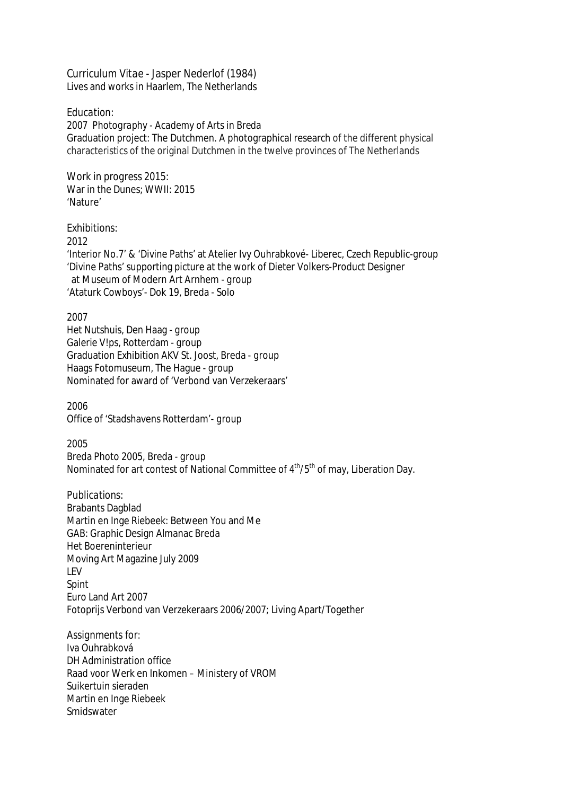*Curriculum Vitae -* Jasper Nederlof (1984) Lives and works in Haarlem, The Netherlands

## *Education:*

*2007 Photography - Academy of Arts in Breda* Graduation project: The Dutchmen. A photographical research of the different physical characteristics of the original Dutchmen in the twelve provinces of The Netherlands

*Work in progress 2015:* War in the Dunes; WWII: 2015 'Nature'

## *Exhibitions:*

2012

'Interior No.7' & 'Divine Paths' at Atelier Ivy Ouhrabkové- Liberec, Czech Republic-*group* 'Divine Paths' supporting picture at the work of Dieter Volkers-Product Designer at Museum of Modern Art Arnhem - *group* 'Ataturk Cowboys'- Dok 19, Breda *- Solo*

2007 Het Nutshuis, Den Haag *- group* Galerie V!ps, Rotterdam *- group* Graduation Exhibition AKV St. Joost, Breda *- group* Haags Fotomuseum, The Hague *- group* Nominated for award of 'Verbond van Verzekeraars'

2006 Office of 'Stadshavens Rotterdam'- *group*

2005

Breda Photo 2005, Breda - *group* Nominated for art contest of National Committee of 4<sup>th</sup>/5<sup>th</sup> of may, Liberation Day.

*Publications:* Brabants Dagblad Martin en Inge Riebeek: Between You and Me GAB: Graphic Design Almanac Breda Het Boereninterieur Moving Art Magazine July 2009 LEV Spint Euro Land Art 2007 Fotoprijs Verbond van Verzekeraars 2006/2007; Living Apart/Together

*Assignments for:* Iva Ouhrabková DH Administration office Raad voor Werk en Inkomen – Ministery of VROM Suikertuin sieraden Martin en Inge Riebeek **Smidswater**